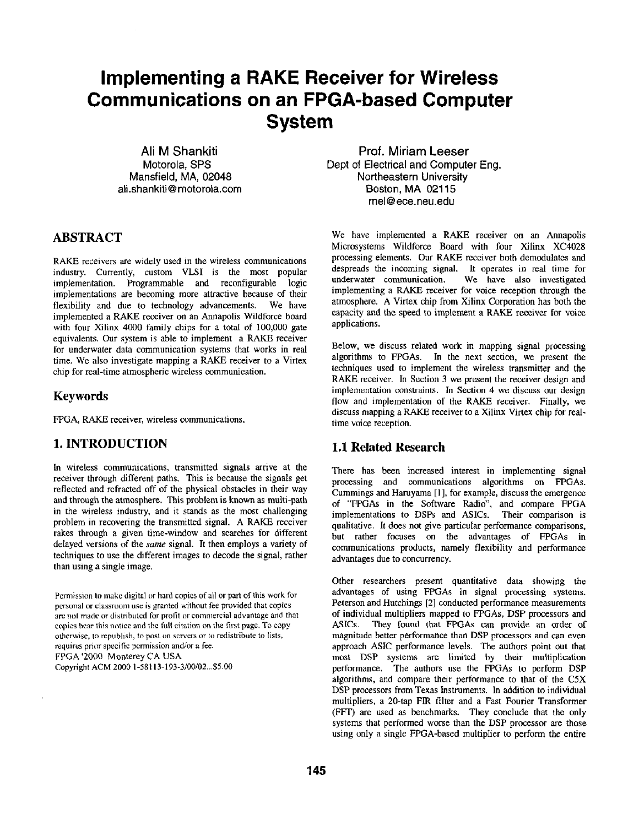# **Implementing a RAKE Receiver for Wireless Communications on an FPGA-based Computer System**

**Ali M Shankiti Motorola, SPS Mansfield, MA, 02048 ali.shankiti @ motorola.corn** 

## **ABSTRACT**

RAKE receivers are widely used in the wireless communications industry. Currently, custom VLSI is the most popular implementation. Programmable and reconfigurable logic implementations are becoming more attractive because of their flexibility and due to technology advancements. We have implemented a RAKE receiver on an Annapolis Wildforce board with four Xilinx 4000 family chips for a total of 100,000 gate equivalents. Our system is able to implement a RAKE receiver for underwater data communication systems that works in real time. We also investigate mapping a RAKE receiver to a Virtex chip for real-time atmospheric wireless communication.

#### **Keywords**

FPGA, RAKE receiver, wireless communications.

## **1. INTRODUCTION**

In wireless communications, transmitted signals arrive at the receiver through different paths. This is because the signals get reflected and refracted off of the physical obstacles in their way and through the atmosphere. This problem is known as multi-path in the wireless industry, and it stands as the most challenging problem in recovering the transmitted signal. A RAKE receiver rakes through a given time-window and searches for different delayed versions of the *same* signal. It then employs a variety of techniques to use the different images to decode the signal, rather than using a single image.

Pemlission to make digital or hard copies of all or part of this work for personal or classroom use is granted wilhout fee provided that copies are not made or distributed for profit or commercial advantage and that copies bear this notice and the full citation on the first page. To copy otherwise, to republish, to post on servers or to redistribute to lists, requires prior specific permission and/or a fee. FPGA '2000 Monterey CA USA Copyright ACM 2000 1-58113-193-3/00/02...\$5.00

**Prof. Miriam Leeser Dept of Electrical and Computer Eng. Northeastern University Boston, MA 02115 mel@ece.neu.edu** 

We have implemented a RAKE receiver on an Annapolis Microsystems Wildforce Board with four Xilinx XC4028 processing elements. Our RAKE receiver both demodulates and despreads the incoming signal. It operates in real time for underwater communication. We have also investigated implementing a RAKE receiver for voice reception through the atmosphere. A Virtex chip from Xilinx Corporation has both the capacity and the speed to implement a RAKE receiver for voice applications.

Below, we discuss related work in mapping signal processing algorithms to FPGAs. In the next section, we present the techniques used to implement the wireless transmitter and the RAKE receiver. In Section 3 we present the receiver design and implementation constraints. In Section 4 we discuss our design flow and implementation of the RAKE receiver. Finally, we **discuss** mapping a RAKE receiver to a Xilinx Virtex chip for realtime voice reception.

## **1.1 Related Research**

There has been increased interest in implementing signal processing and communications algorithms on FPGAs. Cummings and Hamyama [1 ], for example, discuss the emergence of "FPGAs in the Software Radio", and compare FPGA implementations to DSPs and ASICs. Their comparison is qualitative. It does not give particular performance comparisons, but rather focuses on the advantages of FPGAs in communications products, namely flexibility and performance advantages due to concurrency.

Other researchers present quantitative data showing the advantages of using FPGAs in signal processing systems. Peterson and Hutchings [2] conducted performance measurements of individual multipliers mapped to FPGAs, DSP processors and ASICs. They found that FPGAs can provide an order of magnitude better performance than DSP processors and can even approach ASIC performance levels. The authors point out that most DSP systems are limited by their multiplication performance. The authors use the FPGAs to perform DSP algorithms, and compare their performance to that of the C5X DSP processors from Texas Instruments. In addition to individual multipliers, a 20-tap FIR filter and a Fast Fourier Transformer (FFT) are used as benchmarks. They conclude that the only systems that performed worse than the DSP processor are those using only a single FPGA-based multiplier to perform the entire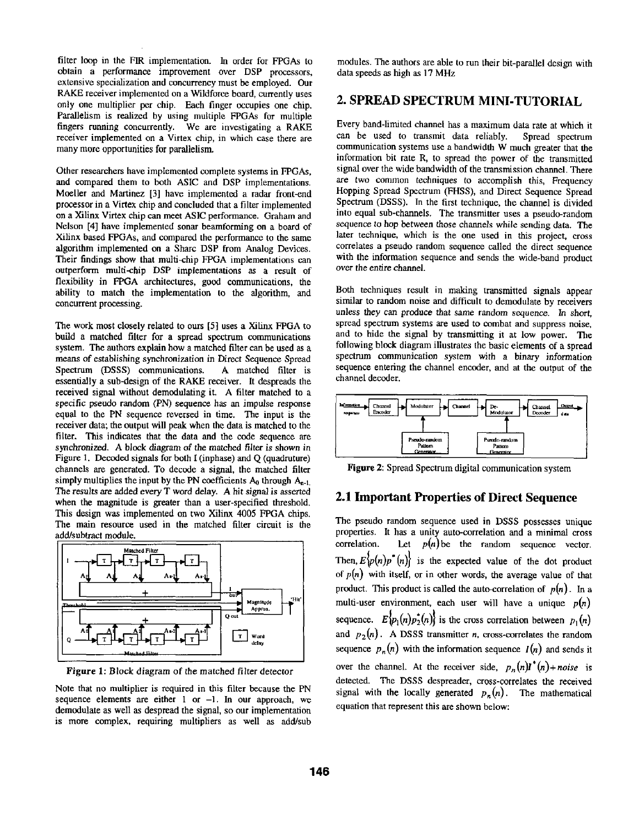filter loop in the FIR implementation. In order for FPGAs to obtain a performance improvement over DSP processors, extensive specialization and concurrency must be employed. Our RAKE receiver implemented on a Wildforce board, currently uses only one multiplier per chip. Each finger occupies one chip. Parallelism is realized by using multiple FPGAs for multiple fingers running concurrently. We are investigating a RAKE receiver implemented on a Virtex chip, in which case there are many more opportunities for parallelism.

Other researchers have implemented complete systems in FPGAs, and compared them to both ASIC and DSP implementations. Moeller and Martinez [3] have implemented a radar front-end processor in a Virtex chip and concluded that a filter implemented on a Xilinx Virtex chip can meet ASIC performance. Graham and Nelson [4] have implemented sonar beamforming on a board of Xilinx based FPGAs, and compared the performance to the same algorithm implemented on a Share DSP from Analog Devices. Their findings show that multi-chip FPGA implementations can outperform multi-chip DSP implementations as a result of flexibility in FPGA architectures, good communications, the ability to match the implementation to the algorithm, and concurrent processing.

The work most closely related to ours [5] uses a Xilinx FPGA to build a matched filter for a spread spectrum communications system. The authors explain how a matched filter can be used as a means of establishing synchronization in Direct Sequence Spread Spectrum (DSSS) communications. A matched filter is essentially a sub-design of the RAKE receiver. It despreads the received signal without demodulating it. A filter matched to a specific pseudo random (PN) sequence has an impulse response equal to the PN sequence reversed in time. The input is the receiver data; the output will peak when the data is matched to the filter. This indicates that the data and the code sequence are synchronized. A block diagram of the matched filter is shown in Figure 1. Decoded signals for both I (inphase) and Q (quadruture) channels are generated. To decode a signal, the matched filter simply multiplies the input by the PN coefficients  $A_0$  through  $A_{n-1}$ . The results are added every T word delay. A hit signal is asserted when the magnitude is greater than a user-specified threshold. This design was implemented on two Xilinx 4005 FPGA chips. The main resource used in the matched filter circuit is the add/subtract module.



**Figure** 1: Block diagram of the matched filter detector

Note that no multiplier is required in this filter because the PN sequence elements are either  $1$  or  $-1$ . In our approach, we demodulate as well as despread the signal, so our implementation is more complex, requiring multipliers as well as add/sub

modules. The authors are able to run their bit-parallel design with data speeds as high as 17 MHz

## **2. SPREAD SPECTRUM MINI-TUTORIAL**

Every band-limited channel has a maximum data rate at which it can be used to transmit data reliably. Spread spectrum communication systems use a bandwidth W much greater that the information bit rate R, to spread the power of the transmitted signal over the wide bandwidth of the transmission channel. There are two common techniques to accomplish this, Frequency Hopping Spread Spectrum (FHSS), and Direct Sequence Spread Spectrum (DSSS). In the first technique, the channel is divided into equal sub-channels. The transmitter uses a pseudo-random sequence to hop between those channels while sending data. The later technique, which is the one used in this project, cross correlates a pseudo random sequence called the direct sequence with the information sequence and sends the wide-band product over the entire channel.

Both techniques result in making transmitted signals appear similar to random noise and difficult to demodulate by receivers unless they can produce that same random sequence. In short, spread spectrum systems are used to combat and suppress noise, and to hide the signal by transmitting it at low power. The following block diagram illustrates the basic elements of a spread spectrum communication system with a binary information sequence entering the channel encoder, and at the output of the channel decoder.



Figure 2: Spread Spectrum digital communication system

#### **2.1 Important Properties of Direct Sequence**

The pseudo random sequence used in DSSS possesses unique properties. It has a unity auto-correlation and a minimal cross correlation. Let  $p(n)$  be the random sequence vector. Then,  $E\{p(n)p^*(n)\}$  is the expected value of the dot product of  $p(n)$  with itself, or in other words, the average value of that product. This product is called the auto-correlation of *p(n). In a*  multi-user environment, each user will have a unique  $p(n)$ sequence.  $E\{p_1(n)p_2^*(n)\}$  is the cross correlation between  $p_1(n)$ and  $p_2(n)$ . A DSSS transmitter *n*, cross-correlates the random sequence  $p_n(n)$  with the information sequence  $I(n)$  and sends it over the channel. At the receiver side,  $p_n(n)$ <sup>\*</sup>(n)+noise is detected. The DSSS despreader, cross-correlates the received signal with the locally generated  $p_n(n)$ . The mathematical equation that represent this are shown below: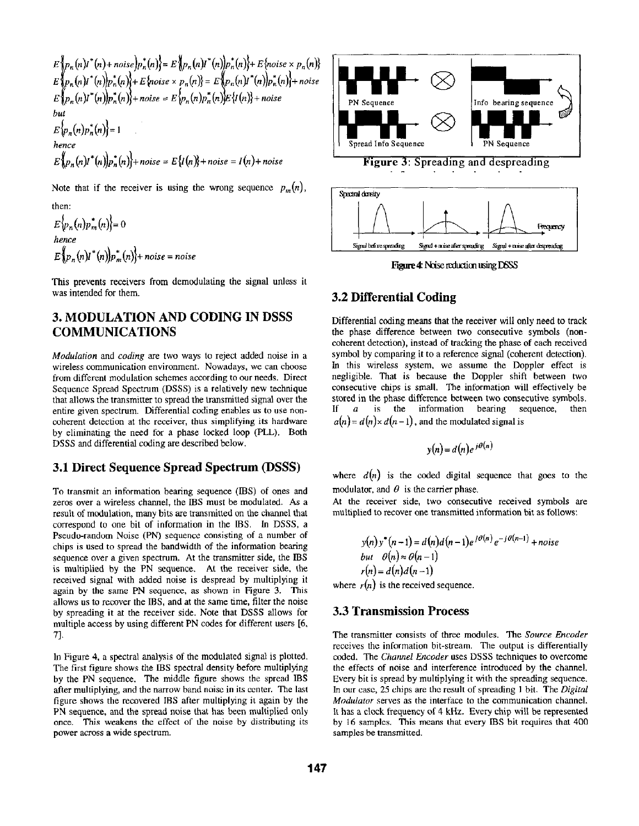$E\left\{p_n(n)I\right\}(n) + noise\left\{p_n(n)\right\} = E\left\{p_n(n)I\right\}(n)\left\{p_n(n)\right\} + E\left\{noise \times p_n(n)\right\}$  $E\left\{p_n(n)I\right\}(n)|p_n(n)\rangle +E\left\}$ noise  $\times$   $p_n(n)\rangle =E\left\{p_n(n)I\right\}(n)|p_n(n)\rangle +noise$  $E\big\{p_n(n)l^*(n)\big\}p_n^*(n)\big\}+noise = E\big\{p_n(n)p_n^*(n)\big\}E\big\{I(n)\big\}+noise$ *but*   $E\{p_n(n)p_n^*(n)\}=1$ *hence*   $E[p_n(n)I^*(n)]p_n(n)+noise = E\{I(n)+noise = I(n)+noise$ 

Note that if the receiver is using the wrong sequence  $p_m(n)$ ,

then:  $E\{p_n(n)p_m^*(n)\}=0$ *hence*   $E\big\{p_n(n)I^*(n)\big\}p_m^*(n)\big\}$ + noise = noise

This prevents receivers from demodulating the signal unless it was intended for them.

## **3. MODULATION AND CODING IN DSSS COMMUNICATIONS**

*Modulation* and *coding are* two ways to reject added noise in a wireless communication environment. Nowadays, we can choose from different modulation schemes according to our needs. Direct Sequence Spread Spectrum (DSSS) is a relatively new technique that allows the transmitter to spread the transmitted signal over the entire given spectrum. Differential coding enables us to use noncoherent detection at the receiver, thus simplifying its hardware by eliminating the need for a phase locked loop (PLL), Both DSSS and differential coding are described below.

## **3.1 Direct Sequence Spread Spectrum (DSSS)**

To transmit an information bearing sequence (IBS) of ones and zeros over a wireless channel, the IBS must be modulated. As a result of modulation, many bits are transmitted on the channel that correspond to one bit of information in the IBS. In DSSS, a Pseudo-random Noise (PN) sequence consisting of a number of chips is used to spread the bandwidth of the information bearing sequence over a given spectrum. At the transmitter side, the IBS is multiplied by the PN sequence. At the receiver side, the received signal with added noise is despread by multiplying it again by the same PN sequence, as shown in Figure 3. This allows us to recover the IBS, and at the same time, filter the noise by spreading it at the receiver side. Note that DSSS allows for multiple access by using different PN codes for different users [6, 7].

In Figure 4, a spectral analysis of the modulated signal is plotted. The first figure shows the IBS spectral density before multiplying by the PN sequence. The middle figure shows the spread IBS after multiplying, and the narrow band noise in its center. The last figure shows the recovered IBS after multiplying **it** again by the PN sequence, and the spread noise that has been multiplied only once. This weakens the effect of the noise by distributing its power across a wide spectrum.



**Figure 3: Spreading and despreading** 



Figure 4: Noise reduction using DSSS

## **3.2 Differential Coding**

Differential coding means that the receiver will only need to track the phase difference between two consecutive symbols (noncoherent detection), instead of tracking the phase of each received symbol by comparing it to a reference signal (coherent detection). In this wireless system, we assume the Doppler effect is negligible. That is because the Doppler shift between two consecutive chips is small. The information will effectively be stored in the phase difference between two consecutive symbols. If  $a$  is the information bearing sequence, then  $a(n) = d(n) \times d(n-1)$ , and the modulated signal is

$$
y(n) = d(n)e^{j\theta(n)}
$$

where  $d(n)$  is the coded digital sequence that goes to the modulator, and  $\theta$  is the carrier phase.

At the receiver side, two consecutive received symbols are multiplied to recover one transmitted information bit as follows:

$$
y(n)y^{*}(n-1) = d(n)d(n-1)e^{j\theta(n)}e^{-j\theta(n-1)} + noise
$$
  
but  $\theta(n) \approx \theta(n-1)$   
 $r(n) = d(n)d(n-1)$ 

where  $r(n)$  is the received sequence.

#### **3.3 Transmission Process**

The transmitter consists of three modules. The *Source Encoder*  receives the information bit-stream. The output is differentially coded. The *Channel Encoder* uses DSSS techniques to overcome the effects of noise and interference introduced by the channel. Every bit is spread by multiplying it with the spreading sequence. In our case, 25 chips are the result of spreading 1 bit. The *Digital Modulator* serves as the interface to the communication channel. It has a clock frequency of 4 kHz. Every chip will be represented by 16 samples. This means that every IBS bit requires that 400 samples be transmitted.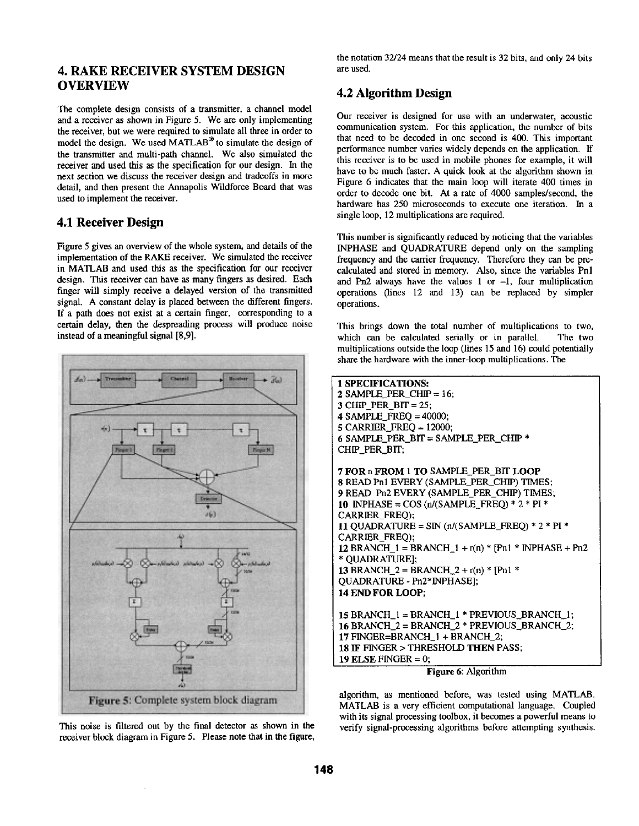## **4. RAKE RECEIVER SYSTEM DESIGN OVERVIEW**

The complete design consists of a transmitter, a channel model and a receiver as shown in Figure 5. We are only implementing the receiver, but we were required to simulate all three in order to model the design. We used MATLAB® to simulate the design of the transmitter and multi-path channel. We also simulated the receiver and used this as the specification for our design. In the next section we discuss the receiver design and tradeoffs in more detail, and then present the Annapolis Wildforce Board that was used to implement the receiver.

## **4.1 Receiver Design**

Figure 5 gives an overview of the whole system, and details of the implementation of the RAKE receiver. We simulated the receiver in MATLAB and used this as the specification for our receiver design. This receiver can have as many fingers as desired. Each finger will simply receive a delayed version of the transmitted signal. A constant delay is placed between the different fingers. If a path does not exist at a certain finger, corresponding to a certain delay, then the despreading process will produce noise instead of a meaningful signal [8,9].





the notation 32/24 means that the result is 32 bits, and only 24 bits are used.

## **4.2 Algorithm Design**

Our receiver is designed for use with an underwater, acoustic communication system. For this application, the number of bits that need to be decoded in one second is 400. This important performance number varies widely depends on the application. If this receiver is to be used in mobile phones for example, it will have to be much faster. A quick look at the algorithm shown in Figure 6 indicates that the main loop will iterate 400 times in order to decode one bit. At a rate of 4000 samples/second, the hardware has 250 microseconds to execute one iteration. In a single loop, 12 multiplications are required.

This number is significantly reduced by noticing that the variables INPHASE and QUADRATURE depend only on the sampling frequency and the carrier frequency. Therefore they can be precalculated and stored in memory. Also, since the variables Pnl and Pn2 always have the values  $1$  or  $-1$ , four multiplication operations (lines 12 and 13) can be replaced by simpler operations.

This brings down the total number of multiplications to two, which can be calculated serially or in parallel. The two multiplications outside the loop (lines 15 and 16) could potentially share the hardware with the inner-loop multiplications. The

| <b>1 SPECIFICATIONS:</b>                                |
|---------------------------------------------------------|
| $2$ SAMPLE_PER_CHIP = 16;                               |
| 3 CHIP PER BIT = $25$ ;                                 |
| 4 SAMPLE FREO $=$ 40000;                                |
| $5$ CARRIER FREQ = 12000;                               |
| 6 SAMPLE_PER_BIT = SAMPLE_PER_CHIP *                    |
| CHIP PER BIT:                                           |
|                                                         |
| <b>7 FOR n FROM 1 TO SAMPLE PER BIT LOOP</b>            |
| 8 READ Pn1 EVERY (SAMPLE_PER_CHIP) TIMES;               |
| 9 READ Pn2 EVERY (SAMPLE_PER_CHIP) TIMES;               |
| 10 INPHASE = $\cos$ (n/(SAMPLE_FREQ) * 2 * PI *         |
| <b>CARRIER FREO):</b>                                   |
| 11 QUADRATURE = SIN $(n/(SAMPLE_FREC) * 2 * PI *$       |
| CARRIER_FREQ);                                          |
| 12 BRANCH $1 = BRANCH_1 + r(n) * [Pn1 * INPHASE + Pn2]$ |
| * OUADRATURE):                                          |
| 13 BRANCH $2 = BRANCH_2 + r(n) * [Pn1 *$                |
| OUADRATURE - Pn2*INPHASE];                              |
| <b>14 END FOR LOOP:</b>                                 |
|                                                         |
| 15 BRANCH $1 =$ BRANCH $1 *$ PREVIOUS BRANCH $1$ ;      |
| 16 BRANCH_2 = BRANCH_2 * PREVIOUS_BRANCH_2;             |
| 17 FINGER=BRANCH 1 + BRANCH 2;                          |
| 18 IF FINGER > THRESHOLD THEN PASS;                     |
| 19 ELSE FINGER $= 0$ :                                  |

**Figure** 6: Algorithm

algorithm, as mentioned before, was tested using MATLAB. MATLAB is a very efficient computational language. Coupled with its signal processing toolbox, it becomes a powerful means to verify signal-processing algorithms before attempting synthesis.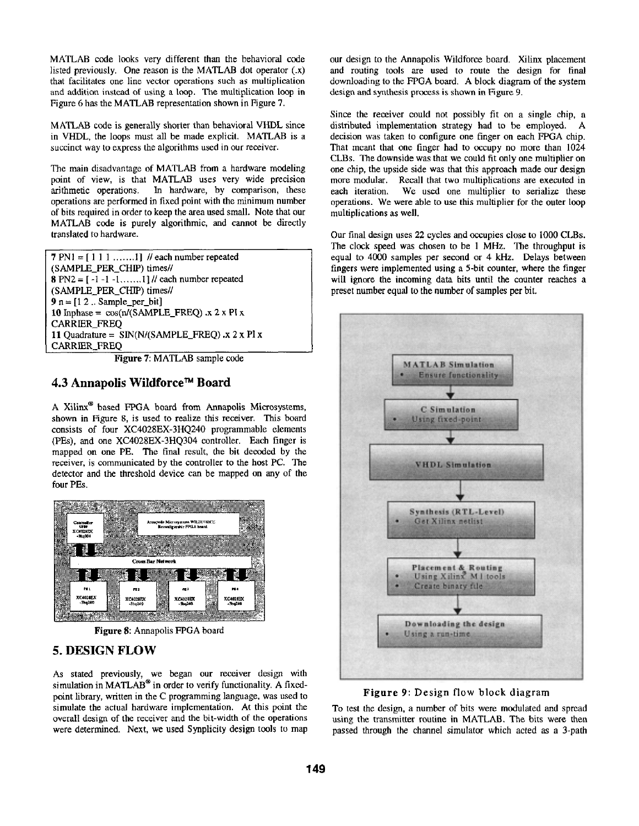MATLAB code looks very different than the behavioral code listed previously. One reason is the MATLAB dot operator (.x) that facilitates one line vector operations such as multiplication and addition instead of using a loop. The multiplication loop in Figure 6 has the MATLAB representation shown in Figure 7.

MATLAB code is generally shorter than behavioral VHDL since in VHDL, the loops must all be made explicit. MATLAB is a succinct way to express the algorithms used in our receiver.

The main disadvantage of MATLAB from a hardware modeling point of view, is that MATLAB uses very wide precision arithmetic operations. In hardware, by comparison, these operations are performed in fixed point with the minimum number of bits required in order to keep the area used small. Note that our MATLAB code is purely algorithmic, and cannot be directly translated to hardware.

7 PN1 =  $[1 1 1 ... ... 1]$  // each number repeated (SAMPLE\_PER\_CHIP) times// 8 PN2 =  $[-1 -1 -1, ..., 1]$  // each number repeated (SAMPLE\_PER\_CHIP) times//  $9$  n =  $[1 2$ .. Sample\_per\_bit] 10 Inphase =  $\cos(n/(SAMPLE\_FREG))$ . x 2 x PI x CARRIER\_FREQ 11 Quadrature =  $SIM(N/(SAMPLE_FREQ) .x 2 x PI x)$ CARRIER FREQ

Figure 7: MATLAB sample code

## **4.3 Annapolis Wildforce™ Board**

A Xilinx ® based FPGA board from Annapolis Microsystems, shown in Figure 8, is used to realize this receiver. This board consists of four XC4028EX-3HQ240 programmable elements (PEs), and one XC4028EX-3HQ304 controller. Each finger is mapped on one PE. The final result, the bit decoded by the receiver, is communicated by the controller to the host PC. The detector and the threshold device can be mapped on any of the four PEs.



Figure 8: Annapolis FPGA board

## **5. DESIGN FLOW**

As stated previously, we began our receiver design with simulation in MATLAB<sup>®</sup> in order to verify functionality. A fixedpoint library, written in the C programming language, was used to simulate the actual hardware implementation. At this point the overall design of the receiver and the bit-width of the operations were determined. Next, we used Synplicity design tools to map our design to the Annapolis Wildforce board. Xilinx placement and routing tools are used to route the design for final downloading to the FPGA board. A block diagram of the system design and synthesis process is shown in Figure 9.

Since the receiver could not possibly fit on a single chip, a distributed implementation strategy had to be employed. A decision was taken to configure one finger on each FPGA chip. That meant that one finger had to occupy no more than 1024 CLBs. The downside was that we could fit only one multiplier on one chip, the upside side was that this approach made our design more modular. Recall that two multiplications are executed in each iteration. We used one multiplier to serialize these operations. We were able to use this multiplier for the outer loop multiplications as well.

Our final design uses 22 cycles and occupies close to 1000 CLBs. The clock speed was chosen to be 1 MHz. The throughput is equal to 4000 samples per second or 4 kHz. Delays between fingers were implemented using a 5-bit counter, where the finger will ignore the incoming data bits until the counter reaches a preset number equal to the number of samples per bit.



Figure 9: Design flow block diagram

To test the design, a number of bits were modulated and spread using the transmitter routine in MATLAB. The bits were then passed through the channel simulator which acted as a 3-path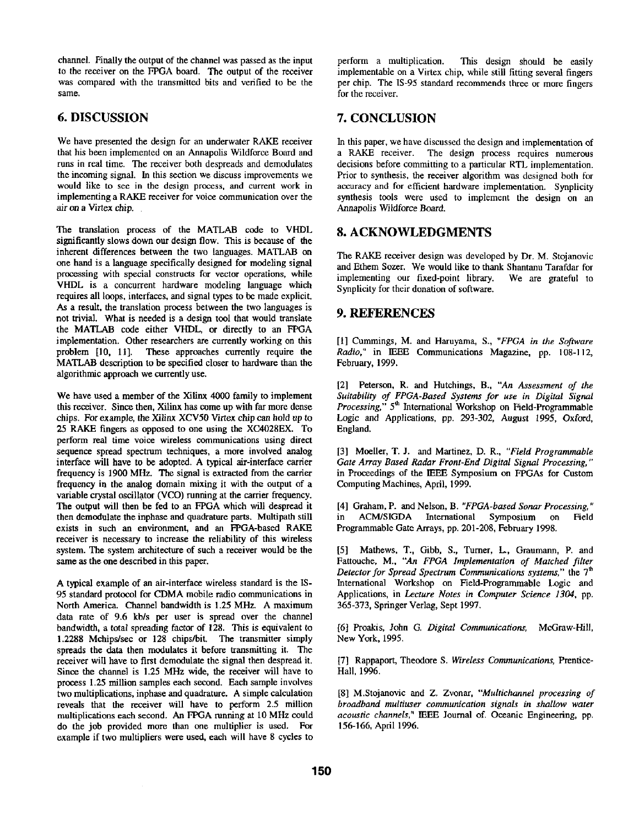channel. Finally the output of the channel was passed as the input to the receiver on the FPGA board. The output of the receiver was compared with the transmitted bits and verified to be the same.

# **6. DISCUSSION**

We have presented the design for an underwater RAKE receiver that his been implemented on an Annapolis Wildforce Board and runs in real time. The receiver both despreads and demodulates the incoming signal. In this section we discuss improvements we would like to see in the design process, and current work in implementing a RAKE receiver for voice communication over the air on a Virtex chip.

The translation process of the MATLAB code to VHDL significantly slows down our design flow. This is because of the inherent differences between the two languages. MATLAB on one hand is a language specifically designed for modeling signal processing with special constructs for vector operations, while VHDL is a concurrent hardware modeling language which requires all loops, interfaces, and signal types to be made explicit. As a result, the translation process between the two languages is not trivial. What is needed is a design tool that would translate the MATLAB code either VHDL, or directly to an FPGA implementation. Other researchers are currently working on this problem [10, 11]. These approaches currently require the MATLAB description to be specified closer to hardware than the algorithmic approach we currently use,

We have used a member of the Xilinx 4000 family to implement this receiver. Since then, Xilinx has come up with far more dense chips. For example, the Xilinx XCV50 Virtex chip can hold up to 25 RAKE fingers as opposed to one using the XC4028EX. To perform real time voice wireless communications using direct sequence spread spectrum techniques, a more involved analog interface will have to be adopted. A typical air-interface carrier frequency is 1900 MHz. The signal is extracted from the carrier frequency in the analog domain mixing it with the output of a variable crystal oscillator (VCO) running at the carrier frequency. The output will then be fed to an FPGA which will despread it then demodulate the inphase and quadrature parts. Multipath still exists in such an environment, and an FPGA-based RAKE receiver is necessary to increase the reliability of this wireless system. The system architecture of such a receiver would be the same as the one described in this paper.

A typical example of an air-interface wireless standard is the IS-95 standard protocol for CDMA mobile radio communications in North America. Channel bandwidth is 1.25 MHz. A maximum data rate of 9.6 kb/s per user is spread over the channel bandwidth, a total spreading factor of 128. This is equivalent to 1.2288 Mchips/sec or 128 chips/bit. The transmitter simply spreads the data then modulates it before transmitting it. The receiver will have to first demodulate the signal then despread it. Since the channel is 1.25 MHz wide, the receiver will have to process 1.25 million samples each second. Each sample involves two multiplications, inphase and quadrature. A simple calculation reveals that the receiver will have to perform 2.5 million multiplications each second. An FPGA running at 10 MHz could do the job provided more than one multiplier is used. For example if two multipliers were used, each will have 8 cycles to perform a multiplication. This design should be easily implementable on a Virtex chip, while still fitting several fingers per chip. The IS-95 standard recommends three or more fingers for the receiver.

# **7. CONCLUSION**

In this paper, we have discussed the design and implementation of a RAKE receiver. The design process requires numerous decisions before committing to a particular RTL implementation. Prior to synthesis, the receiver algorithm was designed both for accuracy and for efficient hardware implementation. Synplicity synthesis tools were used to implement the design on an Annapolis Wildforce Board.

## **8. ACKNOWLEDGMENTS**

The RAKE receiver design was developed by Dr. M. Stojanovic and Ethem Sozer. We would like to thank Shantanu Tarafdar for implementing our fixed-point library. We are grateful to Synplicity for their donation of software.

# **9. REFERENCES**

[1] Cummings, M. and Haruyama, S., *"FPGA in the Software Radio,"* in IEEE Communications Magazine, pp. 108-112, February, 1999.

[2] Peterson, R. and Hutchings, B., *"An Assessment of the Suitability of FPGA-Based Systems for use in Digital Signal Processing,"* 5<sup>th</sup> International Workshop on Field-Programmable Logic and *Applications,* pp. 293-302, August 1995, Oxford, England.

[3] Moeller, T. J. and Martinez, D. R., *"Field Programmable Gate Array Based Radar Front-End Digital Signal Processing,"*  in Proceedings of the IEEE Symposium on FPGAs for Custom Computing Machines, April, 1999.

[4] Graham, P. and Nelson, B. *"FPGA-based Sonar Processing,"*  in ACM/SiGDA International Symposium on Field Programmable Gate Arrays, pp. 201-208, February 1998.

[5] Mathews, T., Gibb, S., Turner, L., Graumann, P. and Fattouche, M., *"An FPGA Implementation of Matched filter Detector for Spread Spectrum Communications systems,*" the 7<sup>th</sup> International Workshop on Field-Programmable Logic and Applications, in *Lecture Notes in Computer Science 1304,* pp. 365-373, Springer Verlag, Sept 1997.

[6] Proakis, John G. *Digital Communications,* McGraw-Hill, New York, 1995.

[7] Rappaport, Theodore S. *Wireless Communications,* Prentice-Hall, 1996.

[8] M.Stojanovic and Z. Zvonar, *"Multichannel processing of broadband multiuser communication signals in shallow water acoustic channels,"* IEEE Journal of. Oceanic Engineering, pp. 156-166, April 1996.